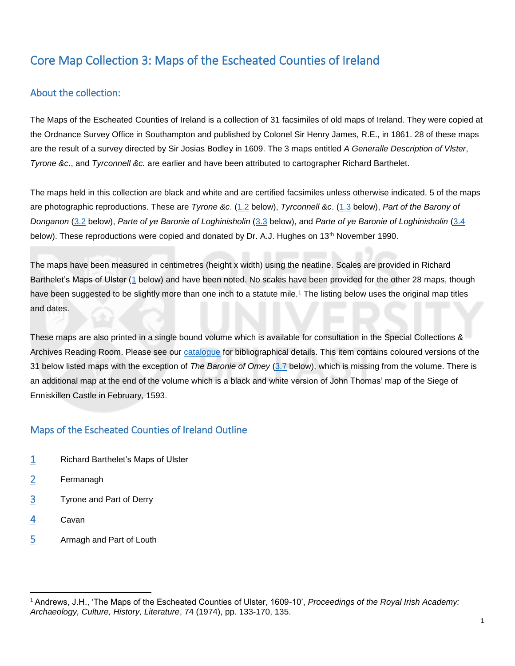## Core Map Collection 3: Maps of the Escheated Counties of Ireland

## About the collection:

The Maps of the Escheated Counties of Ireland is a collection of 31 facsimiles of old maps of Ireland. They were copied at the Ordnance Survey Office in Southampton and published by Colonel Sir Henry James, R.E., in 1861. 28 of these maps are the result of a survey directed by Sir Josias Bodley in 1609. The 3 maps entitled *A Generalle Description of Vlster*, *Tyrone &c*., and *Tyrconnell &c.* are earlier and have been attributed to cartographer Richard Barthelet.

The maps held in this collection are black and white and are certified facsimiles unless otherwise indicated. 5 of the maps are photographic reproductions. These are *Tyrone &c*. [\(1.2](#page-1-0) below), *Tyrconnell &c*. [\(1.3](#page-1-1) below), *Part of the Barony of Donganon* [\(3.2](#page-1-2) below), *Parte of ye Baronie of Loghinisholin* [\(3.3](#page-1-3) below), and *Parte of ye Baronie of Loghinisholin* [\(3.4](#page-1-4) below). These reproductions were copied and donated by Dr. A.J. Hughes on 13<sup>th</sup> November 1990.

The maps have been measured in centimetres (height x width) using the neatline. Scales are provided in Richard Barthelet's Maps of Ulster [\(1](#page-1-5) below) and have been noted. No scales have been provided for the other 28 maps, though have been suggested to be slightly more than one inch to a statute mile.<sup>1</sup> The listing below uses the original map titles and dates.

These maps are also printed in a single bound volume which is available for consultation in the Special Collections & Archives Reading Room. Please see our [catalogue](https://encore.qub.ac.uk/iii/encore/record/C__Rb1390304) for bibliographical details. This item contains coloured versions of the 31 below listed maps with the exception of *The Baronie of Omey* [\(3.7](#page-1-6) below), which is missing from the volume. There is an additional map at the end of the volume which is a black and white version of John Thomas' map of the Siege of Enniskillen Castle in February*,* 1593.

## Maps of the Escheated Counties of Ireland Outline

- [1](#page-1-5) Richard Barthelet's Maps of Ulster
- [2](#page-1-7) Fermanagh
- [3](#page-1-8) Tyrone and Part of Derry
- [4](#page-1-9) Cavan

 $\overline{a}$ 

[5](#page-2-0) Armagh and Part of Louth

<sup>1</sup> Andrews, J.H., 'The Maps of the Escheated Counties of Ulster, 1609-10', *Proceedings of the Royal Irish Academy: Archaeology, Culture, History, Literature*, 74 (1974), pp. 133-170, 135.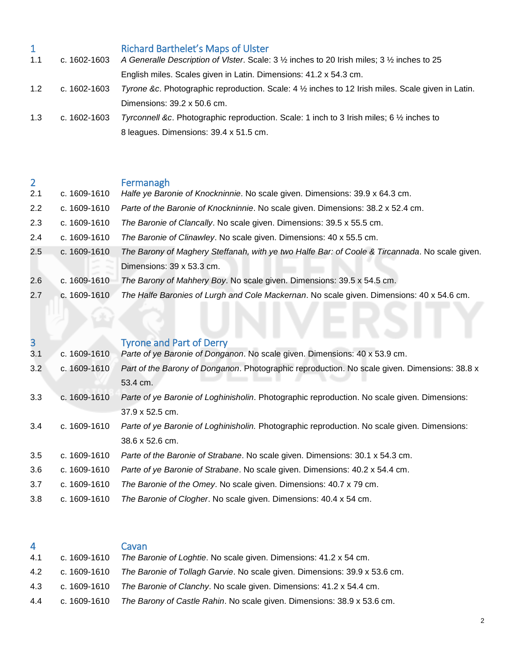<span id="page-1-5"></span><span id="page-1-0"></span>

|     |              | <b>Richard Barthelet's Maps of Ulster</b>                                                          |
|-----|--------------|----------------------------------------------------------------------------------------------------|
| 1.1 | c. 1602-1603 | A Generalle Description of VIster. Scale: 3 1/2 inches to 20 Irish miles; 3 1/2 inches to 25       |
|     |              | English miles. Scales given in Latin. Dimensions: 41.2 x 54.3 cm.                                  |
| 1.2 | c. 1602-1603 | Tyrone &c. Photographic reproduction. Scale: 4 1/2 inches to 12 Irish miles. Scale given in Latin. |
|     |              | Dimensions: 39.2 x 50.6 cm.                                                                        |
| 1.3 | c. 1602-1603 | Tyrconnell &c. Photographic reproduction. Scale: 1 inch to 3 Irish miles; 6 1/2 inches to          |
|     |              | 8 leagues. Dimensions: 39.4 x 51.5 cm.                                                             |

<span id="page-1-7"></span><span id="page-1-1"></span>

| $\overline{2}$ |              | Fermanagh                                                                                      |
|----------------|--------------|------------------------------------------------------------------------------------------------|
| 2.1            | c. 1609-1610 | Halfe ye Baronie of Knockninnie. No scale given. Dimensions: 39.9 x 64.3 cm.                   |
| $2.2^{\circ}$  | c. 1609-1610 | Parte of the Baronie of Knockninnie. No scale given. Dimensions: 38.2 x 52.4 cm.               |
| 2.3            | c. 1609-1610 | The Baronie of Clancally. No scale given. Dimensions: 39.5 x 55.5 cm.                          |
| 2.4            | c. 1609-1610 | The Baronie of Clinawley. No scale given. Dimensions: 40 x 55.5 cm.                            |
| 2.5            | c. 1609-1610 | The Barony of Maghery Steffanah, with ye two Halfe Bar: of Coole & Tircannada. No scale given. |
|                |              | Dimensions: 39 x 53.3 cm.                                                                      |
| 2.6            | c. 1609-1610 | The Barony of Mahhery Boy. No scale given. Dimensions: 39.5 x 54.5 cm.                         |
| 2.7            | c. 1609-1610 | The Halfe Baronies of Lurgh and Cole Mackernan. No scale given. Dimensions: 40 x 54.6 cm.      |

<span id="page-1-8"></span><span id="page-1-4"></span><span id="page-1-3"></span><span id="page-1-2"></span>

| 3   |              | <b>Tyrone and Part of Derry</b>                                                               |
|-----|--------------|-----------------------------------------------------------------------------------------------|
| 3.1 | c. 1609-1610 | Parte of ye Baronie of Donganon. No scale given. Dimensions: 40 x 53.9 cm.                    |
| 3.2 | c. 1609-1610 | Part of the Barony of Donganon. Photographic reproduction. No scale given. Dimensions: 38.8 x |
|     |              | 53.4 cm.                                                                                      |
| 3.3 | c. 1609-1610 | Parte of ye Baronie of Loghinisholin. Photographic reproduction. No scale given. Dimensions:  |
|     |              | $37.9 \times 52.5$ cm.                                                                        |
| 3.4 | c. 1609-1610 | Parte of ye Baronie of Loghinisholin. Photographic reproduction. No scale given. Dimensions:  |
|     |              | 38.6 x 52.6 cm.                                                                               |
| 3.5 | c. 1609-1610 | Parte of the Baronie of Strabane. No scale given. Dimensions: 30.1 x 54.3 cm.                 |
| 3.6 | c. 1609-1610 | Parte of ye Baronie of Strabane. No scale given. Dimensions: 40.2 x 54.4 cm.                  |
| 3.7 | c. 1609-1610 | The Baronie of the Omey. No scale given. Dimensions: 40.7 x 79 cm.                            |
| 3.8 | c. 1609-1610 | The Baronie of Clogher. No scale given. Dimensions: 40.4 x 54 cm.                             |

<span id="page-1-9"></span><span id="page-1-6"></span>

| 4 |  |  |  |  |  |  | Cavan |  |
|---|--|--|--|--|--|--|-------|--|
|   |  |  |  |  |  |  |       |  |

| 4.1 | c. 1609-1610 The Baronie of Loghtie. No scale given. Dimensions: 41.2 x 54 cm.          |
|-----|-----------------------------------------------------------------------------------------|
| 4.2 | c. 1609-1610 The Baronie of Tollagh Garvie. No scale given. Dimensions: 39.9 x 53.6 cm. |

- 4.3 c. 1609-1610 *The Baronie of Clanchy*. No scale given. Dimensions: 41.2 x 54.4 cm.
- 4.4 c. 1609-1610 *The Barony of Castle Rahin*. No scale given. Dimensions: 38.9 x 53.6 cm.